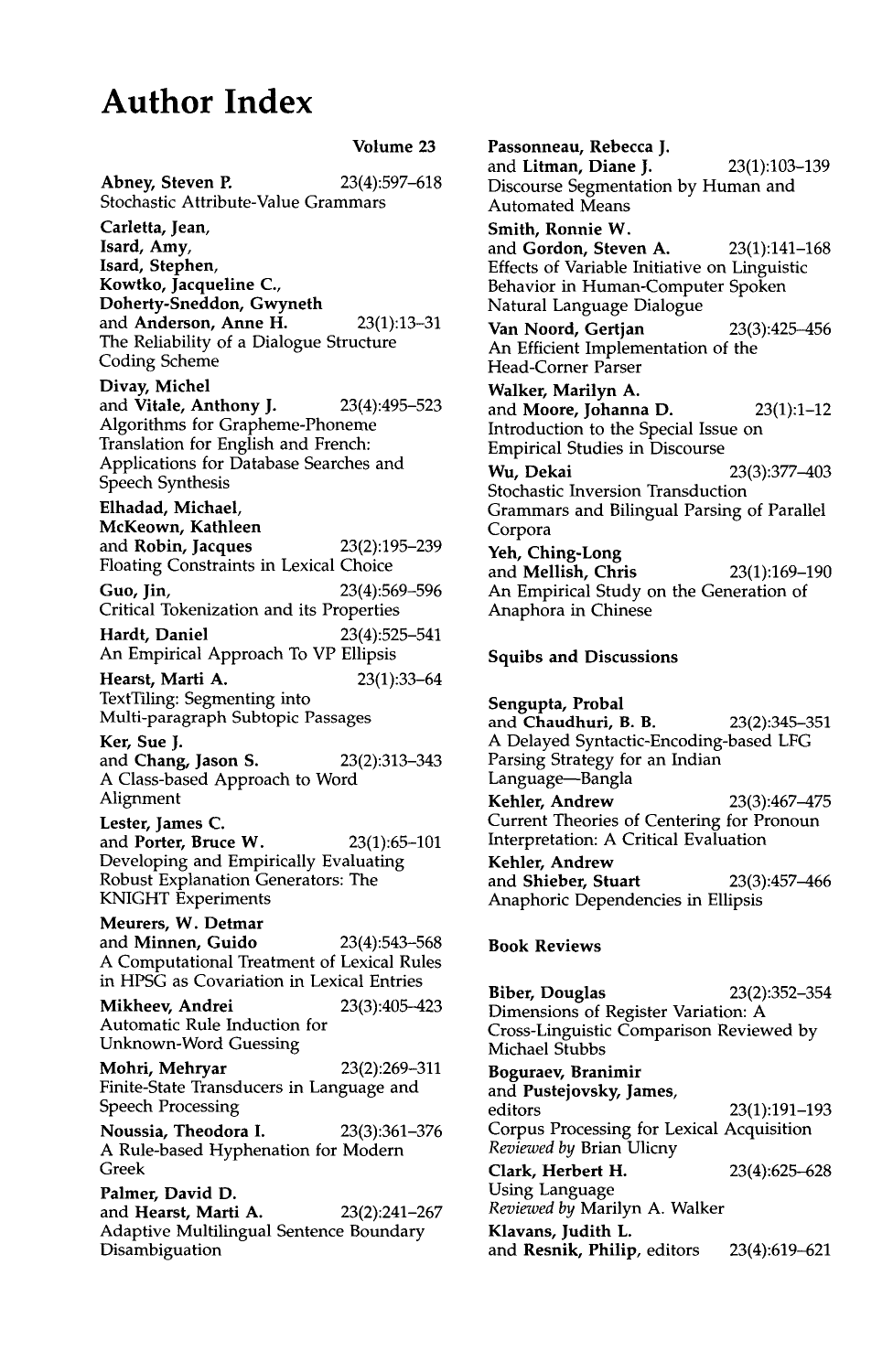## **Author Index**

**Volume 23** 

**Abney, Steven P.** 23(4):597-618 Stochastic Attribute-Value Grammars **Carletta, Jean, Isard, Amy, Isard, Stephen, Kowtko, Jacqueline C., Doherty-Sneddon, Gwyneth**  and **Anderson, Anne** H. 23(1):13-31 The Reliability of a Dialogue Structure Coding Scheme **Divay, Michel**  and **Vitale, Anthony J.** 23(4):495-523 Algorithms for Grapheme-Phoneme Translation for English and French: Applications for Database Searches and Speech Synthesis **Elhadad, Michael, McKeown, Kathleen**  and Robin, Jacques 23(2):195-239 Floating Constraints in Lexical Choice **Guo, Jin,** 23(4):569-596 Critical Tokenization and its Properties **Hardt, Daniel** 23(4):525-541 An Empirical Approach To VP Ellipsis **Hearst,** Marti A. 23(1):33-64 TextTiling: Segmenting into Multi-paragraph Subtopic Passages **Ker, Sue J.**  and **Chang, Jason** S. 23(2):313-343 A Class-based Approach to Word Alignment **Lester, James** C. and **Porter, Bruce** W. 23(1):65-101 Developing and Empirically Evaluating Robust Explanation Generators: The KNIGHT Experiments **Meurers, W. Detmar**  and **Minnen, Guido** 23(4):543-568 A Computational Treatment of Lexical Rules in HPSG as Covariation in Lexical Entries **Mikheev, Andrei** 23(3):405-423 Automatic Rule Induction for Unknown-Word Guessing Mohri, Mehryar 23(2):269-311 Finite-State Transducers in Language and Speech Processing **Noussia, Theodora I.** 23(3):361-376 A Rule-based Hyphenation for Modern Greek **Palmer, David D.**  and Hearst, Marti A. 23(2):241-267 Adaptive Multilingual Sentence Boundary Disambiguation

**Passonneau, Rebecca J.**  and **Litman, Diane J.** 23(1):103-139 Discourse Segmentation by Human and Automated Means **Smith, Ronnie W.**  and **Gordon, Steven A.** 23(1):141-168 Effects of Variable Initiative on Linguistic Behavior in Human-Computer Spoken Natural Language Dialogue **Van Noord, Gertjan** 23(3):425-456 An Efficient Implementation of the Head-Corner Parser Walker, Marilyn A. and **Moore, Johanna D.** 23(1):1-12 Introduction to the Special Issue on Empirical Studies in Discourse Wu, Dekai 23(3):377-403 Stochastic Inversion Transduction Grammars and Bilingual Parsing of Parallel Corpora Yeh, **Ching-Long**  and **Mellish, Chris** 23(1):169-190 An Empirical Study on the Generation of Anaphora in Chinese

## **Squibs and Discussions**

**Sengupta, Probal**  and Chaudhuri, B.B. 23(2):345-351 A Delayed Syntactic-Encoding-based LFG Parsing Strategy for an Indian Language-Bangla **Kehler, Andrew** 23(3):467-475 Current Theories of Centering for Pronoun Interpretation: A Critical Evaluation **Kehler, Andrew**  and **Shieber, Stuart** 23(3):457-466 Anaphoric Dependencies in Ellipsis

## **Book Reviews**

**Biber, Douglas** 23(2):352-354 Dimensions of Register Variation: A Cross-Linguistic Comparison Reviewed by Michael Stubbs **Boguraev, Branimir** 

**and Pustejovsky, James,**  editors 23(1):191-193 Corpus Processing for Lexical Acquisition *Reviewed by* Brian Ulicny Clark, Herbert H. 23(4):625-628 Using Language *Reviewed by* Marilyn A. Walker **Klavans, Judith L.**  and Resnik, Philip, editors 23(4):619-621